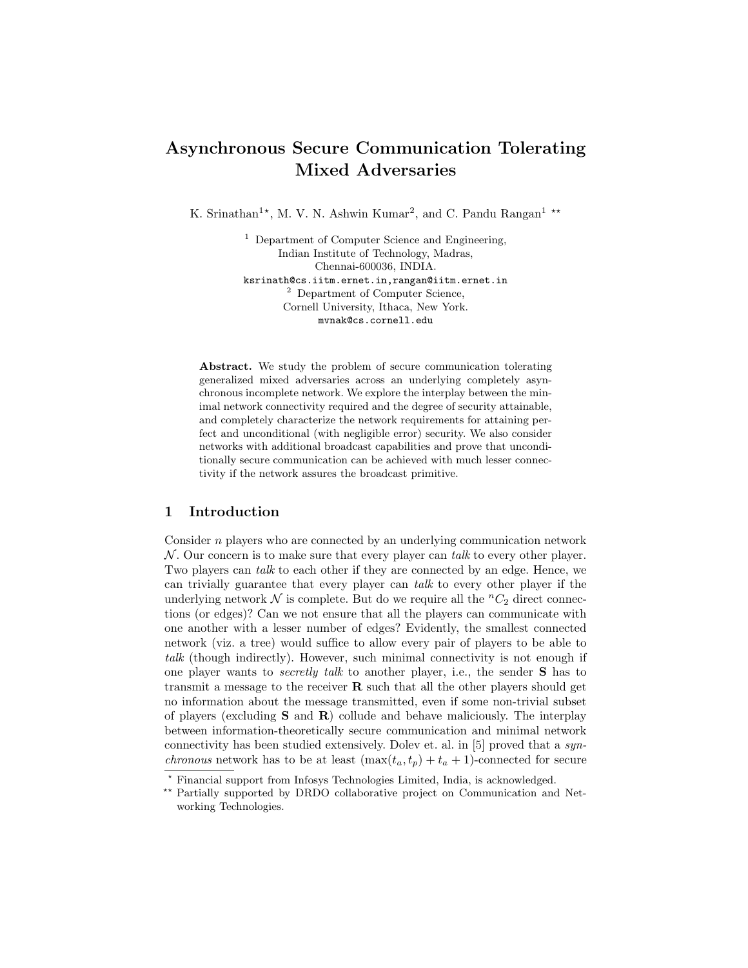# Asynchronous Secure Communication Tolerating Mixed Adversaries

K. Srinathan<sup>1\*</sup>, M. V. N. Ashwin Kumar<sup>2</sup>, and C. Pandu Rangan<sup>1\*\*</sup>

 $<sup>1</sup>$  Department of Computer Science and Engineering,</sup> Indian Institute of Technology, Madras, Chennai-600036, INDIA. ksrinath@cs.iitm.ernet.in,rangan@iitm.ernet.in <sup>2</sup> Department of Computer Science, Cornell University, Ithaca, New York. mvnak@cs.cornell.edu

Abstract. We study the problem of secure communication tolerating generalized mixed adversaries across an underlying completely asynchronous incomplete network. We explore the interplay between the minimal network connectivity required and the degree of security attainable, and completely characterize the network requirements for attaining perfect and unconditional (with negligible error) security. We also consider networks with additional broadcast capabilities and prove that unconditionally secure communication can be achieved with much lesser connectivity if the network assures the broadcast primitive.

## 1 Introduction

Consider n players who are connected by an underlying communication network  $\mathcal N$ . Our concern is to make sure that every player can talk to every other player. Two players can talk to each other if they are connected by an edge. Hence, we can trivially guarantee that every player can talk to every other player if the underlying network  $\mathcal N$  is complete. But do we require all the  ${}^nC_2$  direct connections (or edges)? Can we not ensure that all the players can communicate with one another with a lesser number of edges? Evidently, the smallest connected network (viz. a tree) would suffice to allow every pair of players to be able to talk (though indirectly). However, such minimal connectivity is not enough if one player wants to secretly talk to another player, i.e., the sender S has to transmit a message to the receiver  $\bf{R}$  such that all the other players should get no information about the message transmitted, even if some non-trivial subset of players (excluding  $S$  and  $R$ ) collude and behave maliciously. The interplay between information-theoretically secure communication and minimal network connectivity has been studied extensively. Dolev et. al. in [5] proved that a syn*chronous* network has to be at least  $(\max(t_a, t_p) + t_a + 1)$ -connected for secure

<sup>?</sup> Financial support from Infosys Technologies Limited, India, is acknowledged.

<sup>\*\*</sup> Partially supported by DRDO collaborative project on Communication and Networking Technologies.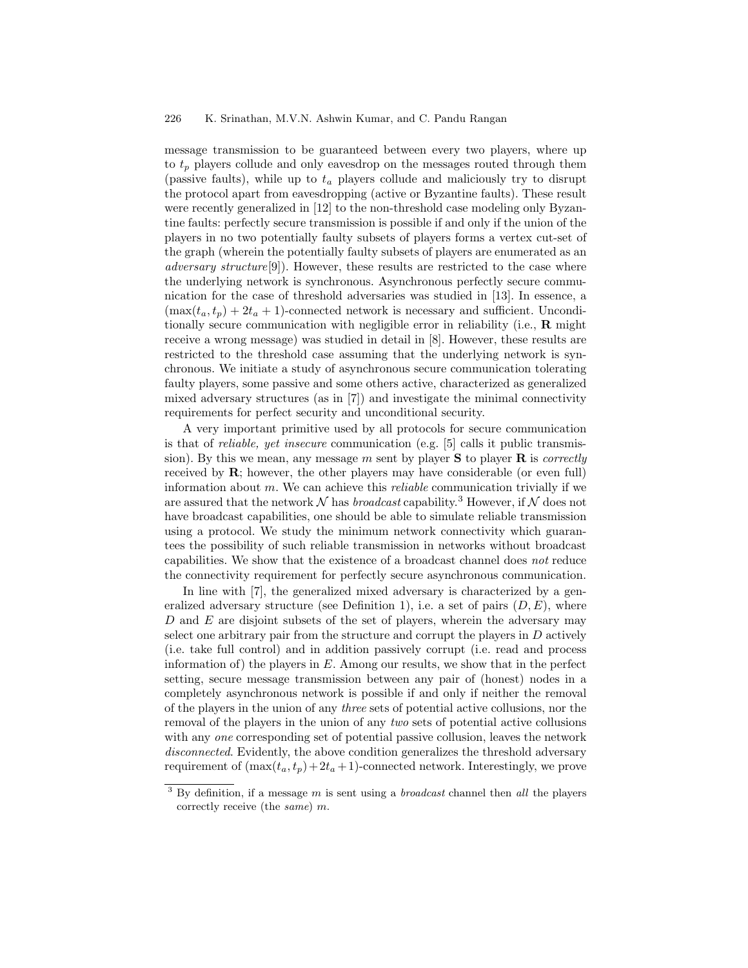message transmission to be guaranteed between every two players, where up to  $t_p$  players collude and only eavesdrop on the messages routed through them (passive faults), while up to  $t_a$  players collude and maliciously try to disrupt the protocol apart from eavesdropping (active or Byzantine faults). These result were recently generalized in [12] to the non-threshold case modeling only Byzantine faults: perfectly secure transmission is possible if and only if the union of the players in no two potentially faulty subsets of players forms a vertex cut-set of the graph (wherein the potentially faulty subsets of players are enumerated as an adversary structure [9]. However, these results are restricted to the case where the underlying network is synchronous. Asynchronous perfectly secure communication for the case of threshold adversaries was studied in [13]. In essence, a  $(\max(t_a, t_p) + 2t_a + 1)$ -connected network is necessary and sufficient. Unconditionally secure communication with negligible error in reliability (i.e.,  $\bf{R}$  might receive a wrong message) was studied in detail in [8]. However, these results are restricted to the threshold case assuming that the underlying network is synchronous. We initiate a study of asynchronous secure communication tolerating faulty players, some passive and some others active, characterized as generalized mixed adversary structures (as in [7]) and investigate the minimal connectivity requirements for perfect security and unconditional security.

A very important primitive used by all protocols for secure communication is that of reliable, yet insecure communication (e.g. [5] calls it public transmission). By this we mean, any message m sent by player  $S$  to player  $R$  is *correctly* received by  $\mathbf{R}$ ; however, the other players may have considerable (or even full) information about  $m$ . We can achieve this *reliable* communication trivially if we are assured that the network  $N$  has *broadcast* capability.<sup>3</sup> However, if  $N$  does not have broadcast capabilities, one should be able to simulate reliable transmission using a protocol. We study the minimum network connectivity which guarantees the possibility of such reliable transmission in networks without broadcast capabilities. We show that the existence of a broadcast channel does not reduce the connectivity requirement for perfectly secure asynchronous communication.

In line with [7], the generalized mixed adversary is characterized by a generalized adversary structure (see Definition 1), i.e. a set of pairs  $(D, E)$ , where D and E are disjoint subsets of the set of players, wherein the adversary may select one arbitrary pair from the structure and corrupt the players in  $D$  actively (i.e. take full control) and in addition passively corrupt (i.e. read and process information of) the players in  $E$ . Among our results, we show that in the perfect setting, secure message transmission between any pair of (honest) nodes in a completely asynchronous network is possible if and only if neither the removal of the players in the union of any three sets of potential active collusions, nor the removal of the players in the union of any two sets of potential active collusions with any one corresponding set of potential passive collusion, leaves the network disconnected. Evidently, the above condition generalizes the threshold adversary requirement of  $(\max(t_a,t_p)+2t_a+1)$ -connected network. Interestingly, we prove

 $3$  By definition, if a message m is sent using a *broadcast* channel then all the players correctly receive (the same) m.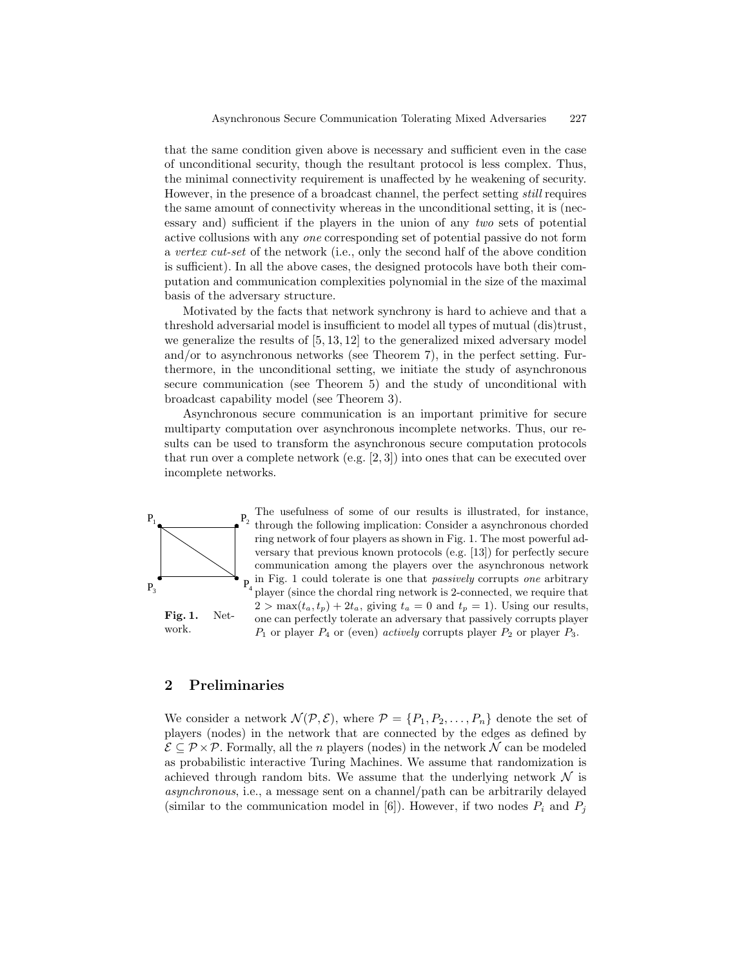that the same condition given above is necessary and sufficient even in the case of unconditional security, though the resultant protocol is less complex. Thus, the minimal connectivity requirement is unaffected by he weakening of security. However, in the presence of a broadcast channel, the perfect setting still requires the same amount of connectivity whereas in the unconditional setting, it is (necessary and) sufficient if the players in the union of any two sets of potential active collusions with any one corresponding set of potential passive do not form a vertex cut-set of the network (i.e., only the second half of the above condition is sufficient). In all the above cases, the designed protocols have both their computation and communication complexities polynomial in the size of the maximal basis of the adversary structure.

Motivated by the facts that network synchrony is hard to achieve and that a threshold adversarial model is insufficient to model all types of mutual (dis)trust, we generalize the results of  $[5, 13, 12]$  to the generalized mixed adversary model and/or to asynchronous networks (see Theorem 7), in the perfect setting. Furthermore, in the unconditional setting, we initiate the study of asynchronous secure communication (see Theorem 5) and the study of unconditional with broadcast capability model (see Theorem 3).

Asynchronous secure communication is an important primitive for secure multiparty computation over asynchronous incomplete networks. Thus, our results can be used to transform the asynchronous secure computation protocols that run over a complete network (e.g. [2, 3]) into ones that can be executed over incomplete networks.



 $\rightarrow$ <sup>-2</sup> through the following implication: Consider a asynchronous chorded  $\bullet$  in Fig. 1 could tolerate is one that passively corrupts one arbitrary The usefulness of some of our results is illustrated, for instance, ring network of four players as shown in Fig. 1. The most powerful adversary that previous known protocols (e.g. [13]) for perfectly secure communication among the players over the asynchronous network player (since the chordal ring network is 2-connected, we require that  $2 > \max(t_a, t_p) + 2t_a$ , giving  $t_a = 0$  and  $t_p = 1$ ). Using our results, one can perfectly tolerate an adversary that passively corrupts player

Fig. 1. Network.

 $P_1$  or player  $P_4$  or (even) actively corrupts player  $P_2$  or player  $P_3$ .

## 2 Preliminaries

We consider a network  $\mathcal{N}(\mathcal{P}, \mathcal{E})$ , where  $\mathcal{P} = \{P_1, P_2, \ldots, P_n\}$  denote the set of players (nodes) in the network that are connected by the edges as defined by  $\mathcal{E} \subseteq \mathcal{P} \times \mathcal{P}$ . Formally, all the *n* players (nodes) in the network N can be modeled as probabilistic interactive Turing Machines. We assume that randomization is achieved through random bits. We assume that the underlying network  $\mathcal N$  is asynchronous, i.e., a message sent on a channel/path can be arbitrarily delayed (similar to the communication model in [6]). However, if two nodes  $P_i$  and  $P_j$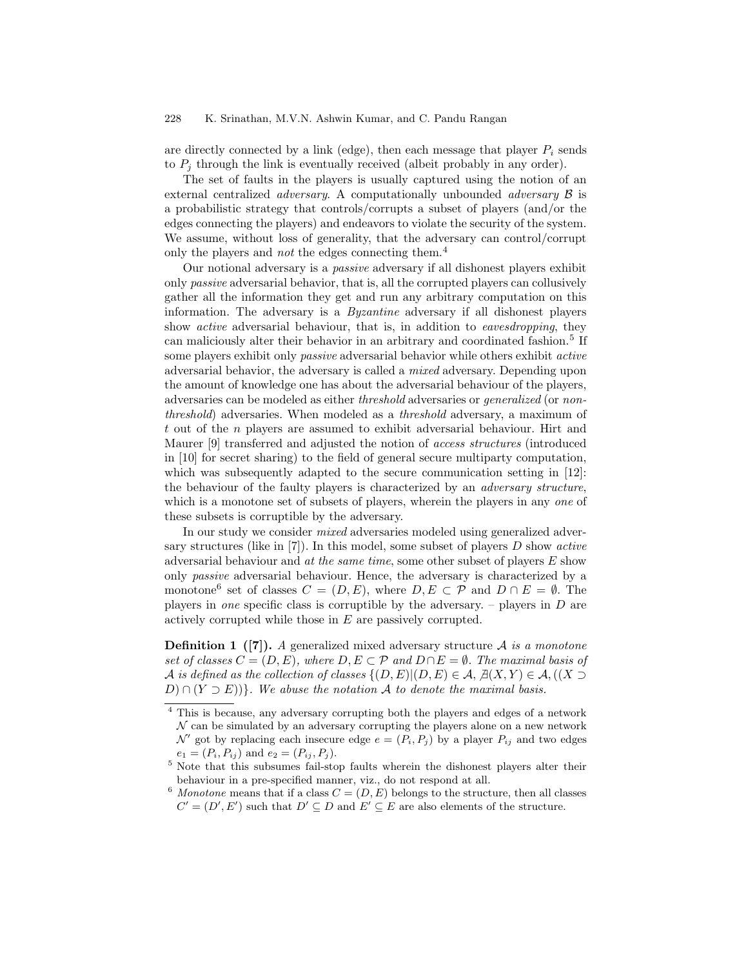are directly connected by a link (edge), then each message that player  $P_i$  sends to  $P_i$ , through the link is eventually received (albeit probably in any order).

The set of faults in the players is usually captured using the notion of an external centralized *adversary*. A computationally unbounded *adversary*  $\beta$  is a probabilistic strategy that controls/corrupts a subset of players (and/or the edges connecting the players) and endeavors to violate the security of the system. We assume, without loss of generality, that the adversary can control/corrupt only the players and not the edges connecting them.<sup>4</sup>

Our notional adversary is a passive adversary if all dishonest players exhibit only passive adversarial behavior, that is, all the corrupted players can collusively gather all the information they get and run any arbitrary computation on this information. The adversary is a Byzantine adversary if all dishonest players show *active* adversarial behaviour, that is, in addition to *eavesdropping*, they can maliciously alter their behavior in an arbitrary and coordinated fashion.<sup>5</sup> If some players exhibit only passive adversarial behavior while others exhibit active adversarial behavior, the adversary is called a mixed adversary. Depending upon the amount of knowledge one has about the adversarial behaviour of the players, adversaries can be modeled as either threshold adversaries or generalized (or nonthreshold) adversaries. When modeled as a threshold adversary, a maximum of t out of the n players are assumed to exhibit adversarial behaviour. Hirt and Maurer [9] transferred and adjusted the notion of access structures (introduced in [10] for secret sharing) to the field of general secure multiparty computation, which was subsequently adapted to the secure communication setting in [12]: the behaviour of the faulty players is characterized by an adversary structure, which is a monotone set of subsets of players, wherein the players in any *one* of these subsets is corruptible by the adversary.

In our study we consider mixed adversaries modeled using generalized adversary structures (like in  $[7]$ ). In this model, some subset of players D show *active* adversarial behaviour and at the same time, some other subset of players E show only passive adversarial behaviour. Hence, the adversary is characterized by a monotone<sup>6</sup> set of classes  $C = (D, E)$ , where  $D, E \subset \mathcal{P}$  and  $D \cap E = \emptyset$ . The players in one specific class is corruptible by the adversary. – players in  $D$  are actively corrupted while those in E are passively corrupted.

**Definition 1** ([7]). A generalized mixed adversary structure  $A$  is a monotone set of classes  $C = (D, E)$ , where  $D, E \subset P$  and  $D \cap E = \emptyset$ . The maximal basis of A is defined as the collection of classes  $\{(D, E)|(D, E) \in \mathcal{A}, \mathcal{A}(X, Y) \in \mathcal{A}, ((X \supset$  $D \cap (Y \supset E)$ }. We abuse the notation A to denote the maximal basis.

<sup>4</sup> This is because, any adversary corrupting both the players and edges of a network  $N$  can be simulated by an adversary corrupting the players alone on a new network N' got by replacing each insecure edge  $e = (P_i, P_j)$  by a player  $P_{ij}$  and two edges  $e_1 = (P_i, P_{ij})$  and  $e_2 = (P_{ij}, P_j)$ .

<sup>5</sup> Note that this subsumes fail-stop faults wherein the dishonest players alter their behaviour in a pre-specified manner, viz., do not respond at all.

<sup>&</sup>lt;sup>6</sup> Monotone means that if a class  $C = (D, E)$  belongs to the structure, then all classes  $C' = (D', E')$  such that  $D' \subseteq D$  and  $E' \subseteq E$  are also elements of the structure.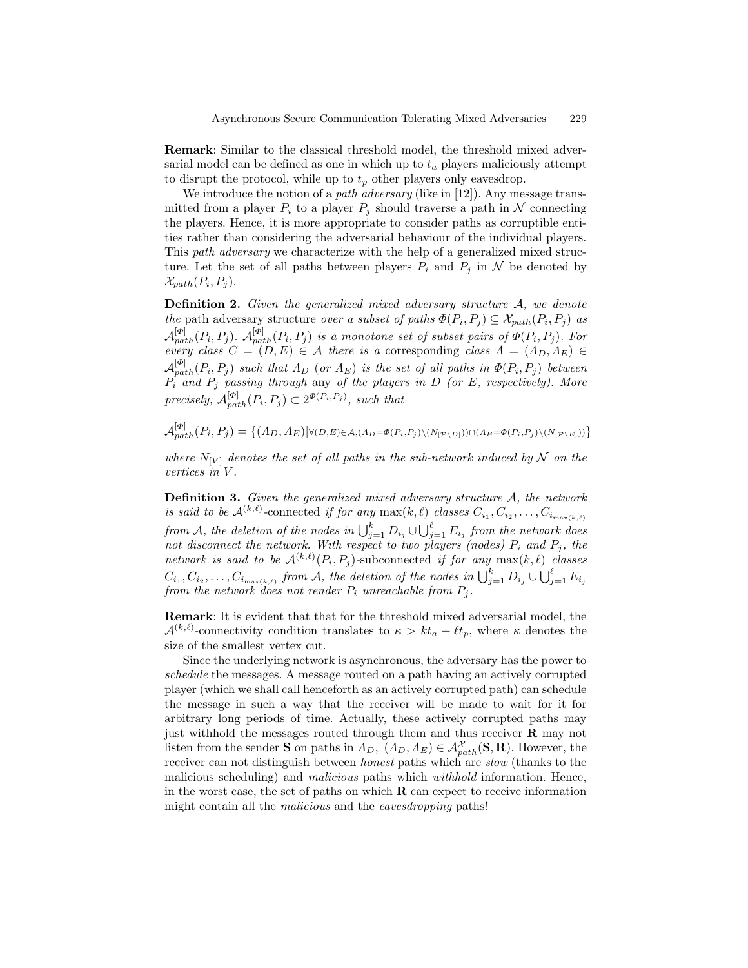Remark: Similar to the classical threshold model, the threshold mixed adversarial model can be defined as one in which up to  $t_a$  players maliciously attempt to disrupt the protocol, while up to  $t_p$  other players only eavesdrop.

We introduce the notion of a *path adversary* (like in [12]). Any message transmitted from a player  $P_i$  to a player  $P_j$  should traverse a path in N connecting the players. Hence, it is more appropriate to consider paths as corruptible entities rather than considering the adversarial behaviour of the individual players. This path adversary we characterize with the help of a generalized mixed structure. Let the set of all paths between players  $P_i$  and  $P_j$  in N be denoted by  $\mathcal{X}_{path}(P_i, P_j).$ 

**Definition 2.** Given the generalized mixed adversary structure  $A$ , we denote the path adversary structure over a subset of paths  $\Phi(P_i, P_j) \subseteq \mathcal{X}_{path}(P_i, P_j)$  as  $\mathcal{A}^{[\Phi]}_{path}(P_i,P_j)$ .  $\mathcal{A}^{[\Phi]}_{path}(P_i,P_j)$  is a monotone set of subset pairs of  $\Phi(P_i,P_j)$ . For every class  $C = (D, E) \in \mathcal{A}$  there is a corresponding class  $\Lambda = (\Lambda_D, \Lambda_E) \in$  ${\cal A}^{[\Phi]}_{path}(P_i,P_j)$  such that  $\Lambda_D$  (or  $\Lambda_E$ ) is the set of all paths in  $\Phi(P_i,P_j)$  between  $P_i$  and  $P_j$  passing through any of the players in D (or E, respectively). More precisely,  $\mathcal{A}_{path}^{[\Phi]}(P_i, P_j) \subset 2^{\Phi(P_i, P_j)}$ , such that

$$
\mathcal{A}_{path}^{[\Phi]}(P_i, P_j) = \{ (\Lambda_D, \Lambda_E) | \forall (D, E) \in \mathcal{A}, (\Lambda_D = \Phi(P_i, P_j) \setminus (N_{[\mathcal{P} \setminus D]})) \cap (\Lambda_E = \Phi(P_i, P_j) \setminus (N_{[\mathcal{P} \setminus E]})) \}
$$

where  $N_{[V]}$  denotes the set of all paths in the sub-network induced by N on the vertices in V .

Definition 3. Given the generalized mixed adversary structure A, the network is said to be  $\mathcal{A}^{(k,\ell)}$ -connected if for any max $(k,\ell)$  classes  $C_{i_1}, C_{i_2}, \ldots, C_{i_{\max(k,\ell)}}$ from A, the deletion of the nodes in  $\bigcup_{j=1}^k D_{i_j} \cup \bigcup_{j=1}^\ell E_{i_j}$  from the network does not disconnect the network. With respect to two players (nodes)  $P_i$  and  $P_j$ , the network is said to be  $\mathcal{A}^{(k,\ell)}(P_i,P_j)$ -subconnected if for any  $\max(k,\ell)$  classes  $C_{i_1}, C_{i_2}, \ldots, C_{i_{\max(k,\ell)}}$  from A, the deletion of the nodes in  $\bigcup_{j=1}^k D_{i_j} \cup \bigcup_{j=1}^{\ell} E_{i_j}$ from the network does not render  $P_i$  unreachable from  $P_j$ .

Remark: It is evident that that for the threshold mixed adversarial model, the  $\mathcal{A}^{(k,\ell)}$ -connectivity condition translates to  $\kappa > kt_a + \ell t_p$ , where  $\kappa$  denotes the size of the smallest vertex cut.

Since the underlying network is asynchronous, the adversary has the power to schedule the messages. A message routed on a path having an actively corrupted player (which we shall call henceforth as an actively corrupted path) can schedule the message in such a way that the receiver will be made to wait for it for arbitrary long periods of time. Actually, these actively corrupted paths may just withhold the messages routed through them and thus receiver  **may not** listen from the sender **S** on paths in  $\Lambda_D$ ,  $(\Lambda_D, \Lambda_E) \in \mathcal{A}_{path}^{\mathcal{X}}(\mathbf{S}, \mathbf{R})$ . However, the receiver can not distinguish between *honest* paths which are *slow* (thanks to the malicious scheduling) and *malicious* paths which *withhold* information. Hence, in the worst case, the set of paths on which  **can expect to receive information** might contain all the malicious and the eavesdropping paths!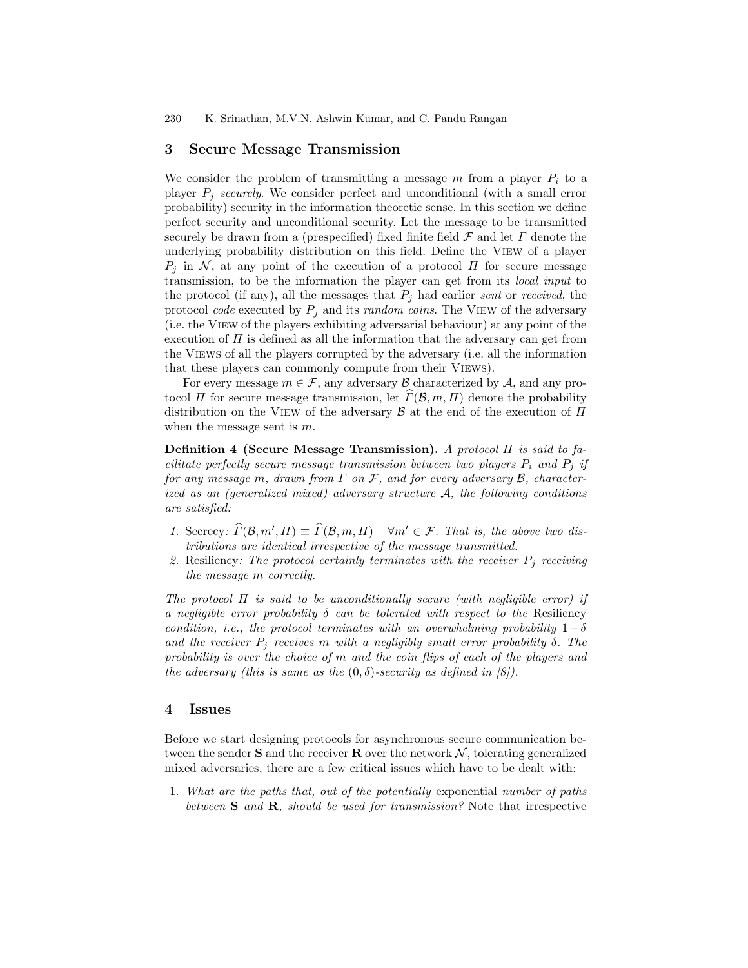## 3 Secure Message Transmission

We consider the problem of transmitting a message  $m$  from a player  $P_i$  to a player  $P_i$  securely. We consider perfect and unconditional (with a small error probability) security in the information theoretic sense. In this section we define perfect security and unconditional security. Let the message to be transmitted securely be drawn from a (prespecified) fixed finite field  $\mathcal F$  and let  $\Gamma$  denote the underlying probability distribution on this field. Define the View of a player  $P_i$  in N, at any point of the execution of a protocol  $\Pi$  for secure message transmission, to be the information the player can get from its local input to the protocol (if any), all the messages that  $P_i$  had earlier sent or received, the protocol *code* executed by  $P_i$  and its *random coins*. The VIEW of the adversary (i.e. the View of the players exhibiting adversarial behaviour) at any point of the execution of  $\Pi$  is defined as all the information that the adversary can get from the Views of all the players corrupted by the adversary (i.e. all the information that these players can commonly compute from their Views).

For every message  $m \in \mathcal{F}$ , any adversary  $\mathcal B$  characterized by  $\mathcal A$ , and any protocol  $\Pi$  for secure message transmission, let  $\widehat{\Gamma}(\mathcal{B}, m, \Pi)$  denote the probability distribution on the VIEW of the adversary  $\beta$  at the end of the execution of  $\Pi$ when the message sent is m.

Definition 4 (Secure Message Transmission). A protocol  $\Pi$  is said to facilitate perfectly secure message transmission between two players  $P_i$  and  $P_j$  if for any message m, drawn from  $\Gamma$  on  $\mathcal F$ , and for every adversary  $\mathcal B$ , characterized as an (generalized mixed) adversary structure A, the following conditions are satisfied:

- 1. Secrecy:  $\widehat{\Gamma}(\mathcal{B}, m', \Pi) \equiv \widehat{\Gamma}(\mathcal{B}, m, \Pi) \quad \forall m' \in \mathcal{F}$ . That is, the above two distributions are identical irrespective of the message transmitted.
- 2. Resiliency: The protocol certainly terminates with the receiver  $P_j$  receiving the message m correctly.

The protocol  $\Pi$  is said to be unconditionally secure (with negligible error) if a negligible error probability  $\delta$  can be tolerated with respect to the Resiliency condition, i.e., the protocol terminates with an overwhelming probability  $1-\delta$ and the receiver  $P_i$  receives m with a negligibly small error probability  $\delta$ . The probability is over the choice of m and the coin flips of each of the players and the adversary (this is same as the  $(0, \delta)$ -security as defined in [8]).

## 4 Issues

Before we start designing protocols for asynchronous secure communication between the sender **S** and the receiver **R** over the network  $N$ , tolerating generalized mixed adversaries, there are a few critical issues which have to be dealt with:

1. What are the paths that, out of the potentially exponential number of paths between  $S$  and  $R$ , should be used for transmission? Note that irrespective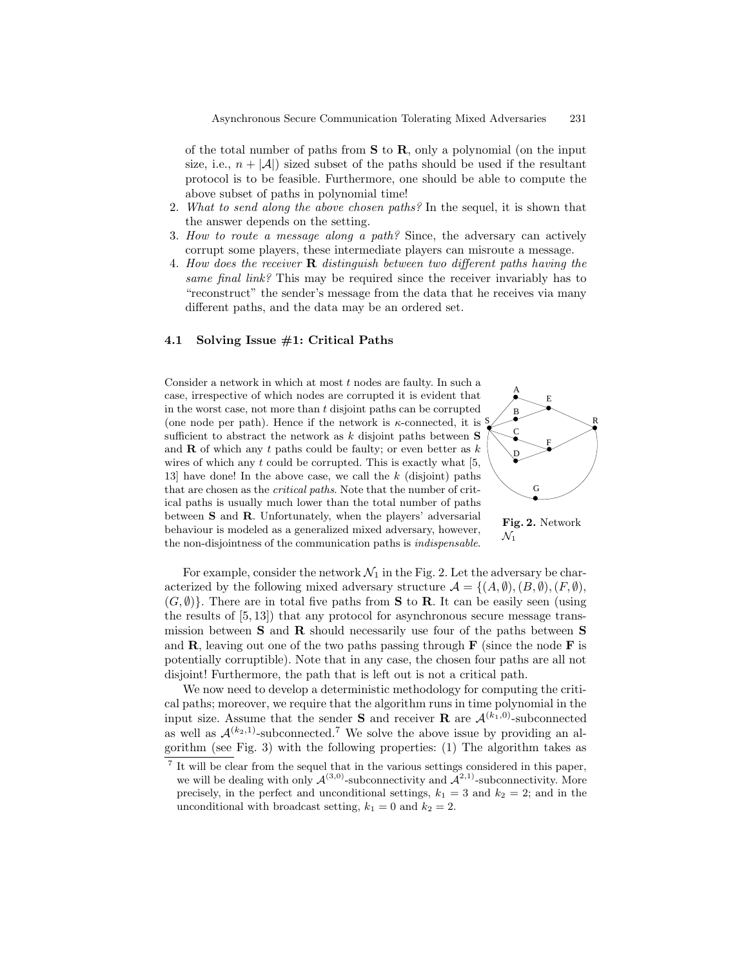of the total number of paths from  $S$  to  $R$ , only a polynomial (on the input size, i.e.,  $n + |\mathcal{A}|$  sized subset of the paths should be used if the resultant protocol is to be feasible. Furthermore, one should be able to compute the above subset of paths in polynomial time!

- 2. What to send along the above chosen paths? In the sequel, it is shown that the answer depends on the setting.
- 3. How to route a message along a path? Since, the adversary can actively corrupt some players, these intermediate players can misroute a message.
- 4. How does the receiver **R** distinguish between two different paths having the same final link? This may be required since the receiver invariably has to "reconstruct" the sender's message from the data that he receives via many different paths, and the data may be an ordered set.

## 4.1 Solving Issue #1: Critical Paths

Consider a network in which at most  $t$  nodes are faulty. In such a case, irrespective of which nodes are corrupted it is evident that in the worst case, not more than  $t$  disjoint paths can be corrupted (one node per path). Hence if the network is  $\kappa$ -connected, it is sufficient to abstract the network as  $k$  disjoint paths between  $S$ and  **of which any t paths could be faulty; or even better as**  $k$ wires of which any  $t$  could be corrupted. This is exactly what  $[5,$ 13] have done! In the above case, we call the k (disjoint) paths that are chosen as the critical paths. Note that the number of critical paths is usually much lower than the total number of paths between S and R. Unfortunately, when the players' adversarial behaviour is modeled as a generalized mixed adversary, however, the non-disjointness of the communication paths is indispensable.



Fig. 2. Network  $\mathcal{N}_1$ 

For example, consider the network  $\mathcal{N}_1$  in the Fig. 2. Let the adversary be characterized by the following mixed adversary structure  $\mathcal{A} = \{(A, \emptyset), (B, \emptyset), (F, \emptyset),\}$  $(G, \emptyset)$ . There are in total five paths from **S** to **R**. It can be easily seen (using the results of [5, 13]) that any protocol for asynchronous secure message transmission between  $S$  and  $R$  should necessarily use four of the paths between  $S$ and  $\bf{R}$ , leaving out one of the two paths passing through  $\bf{F}$  (since the node  $\bf{F}$  is potentially corruptible). Note that in any case, the chosen four paths are all not disjoint! Furthermore, the path that is left out is not a critical path.

We now need to develop a deterministic methodology for computing the critical paths; moreover, we require that the algorithm runs in time polynomial in the input size. Assume that the sender **S** and receiver **R** are  $\mathcal{A}^{(k_1,0)}$ -subconnected as well as  $\mathcal{A}^{(k_2,1)}$ -subconnected.<sup>7</sup> We solve the above issue by providing an algorithm (see Fig. 3) with the following properties: (1) The algorithm takes as

<sup>7</sup> It will be clear from the sequel that in the various settings considered in this paper, we will be dealing with only  $\mathcal{A}^{(3,0)}$ -subconnectivity and  $\mathcal{A}^{(3,1)}$ -subconnectivity. More precisely, in the perfect and unconditional settings,  $k_1 = 3$  and  $k_2 = 2$ ; and in the unconditional with broadcast setting,  $k_1 = 0$  and  $k_2 = 2$ .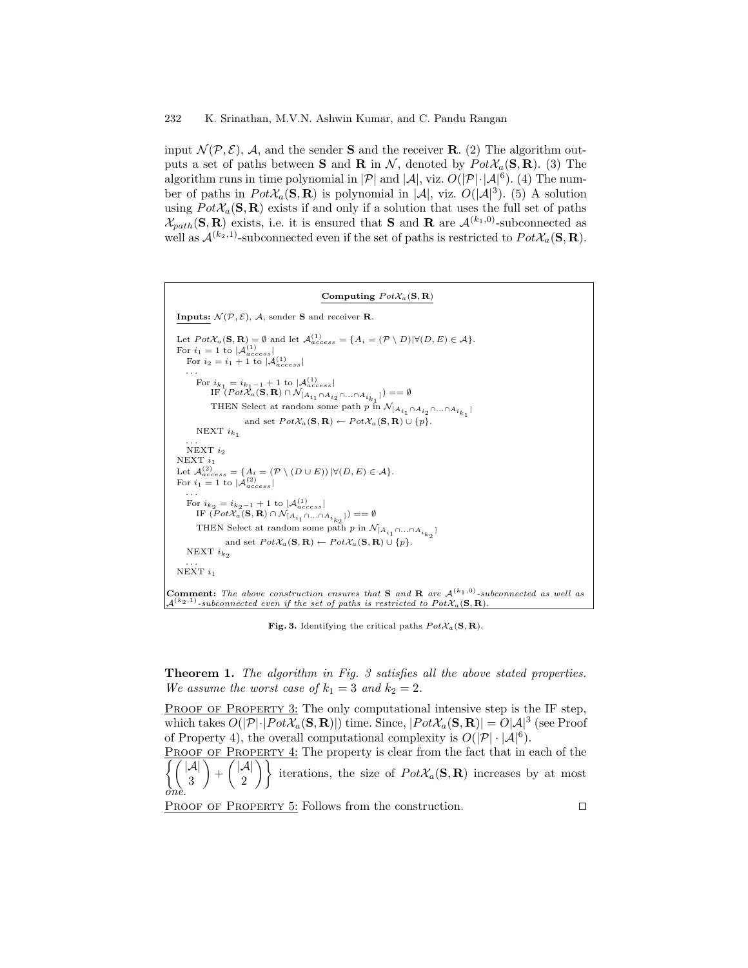input  $\mathcal{N}(\mathcal{P}, \mathcal{E})$ , A, and the sender **S** and the receiver **R**. (2) The algorithm outputs a set of paths between **S** and **R** in N, denoted by  $PotX_a(S, \mathbf{R})$ . (3) The algorithm runs in time polynomial in  $|\mathcal{P}|$  and  $|\mathcal{A}|$ , viz.  $O(|\mathcal{P}|\cdot |\mathcal{A}|^6)$ . (4) The number of paths in  $PotX_a(S, \mathbf{R})$  is polynomial in  $|\mathcal{A}|$ , viz.  $O(|\mathcal{A}|^3)$ . (5) A solution using  $PotX<sub>a</sub>(S, R)$  exists if and only if a solution that uses the full set of paths  $\mathcal{X}_{path}(\mathbf{S}, \mathbf{R})$  exists, i.e. it is ensured that **S** and **R** are  $\mathcal{A}^{(k_1,0)}$ -subconnected as well as  $\mathcal{A}^{(k_2,1)}$ -subconnected even if the set of paths is restricted to  $PotX_a(\mathbf{S}, \mathbf{R})$ .

```
Computing PotX_a(S, R)Inputs: \mathcal{N}(\mathcal{P}, \mathcal{E}), A, sender S and receiver R.
    Let PotX_a(S, \mathbf{R}) = \emptyset and let \mathcal{A}_{access}^{(1)} = \{A_i = (\mathcal{P} \setminus D) | \forall (D, E) \in \mathcal{A}\}.For i_1 = 1 to |\mathcal{A}^{(1)}_{access}|For i_2 = i_1 + 1 to |A_{access}^{(1)}|. . .
            For i_{k_1} = i_{k_1-1} + 1 to |A_{access}^{(1)}|<br>
IF (PotX_a(\mathbf{S}, \mathbf{R}) \cap \mathcal{N}_{[A_{i_1} \cap A_{i_2} \cap ... \cap A_{i_{k_1}}]}) = 0THEN Select at random some path p in \mathcal{N}_{[A_{i_1} \cap A_{i_2} \cap ... \cap A_{i_{k_1}}]}\text{and set } Pot\mathcal{X}_{a}(\mathbf{S},\mathbf{R}) \leftarrow Pot\mathcal{X}_{a}(\mathbf{S},\mathbf{R}) \cup \{p\}.NEXT i_{k_1}. . .<br>NEXT i2
   NEXTi_1Let \mathcal{A}^{(2)}_{access} = \{A_i = (\mathcal{P} \setminus (D \cup E)) | \forall (D, E) \in \mathcal{A}\}.For i_1 = 1 to |\mathcal{A}^{(2)}_{access}|...<br>
For i_{k_2} = i_{k_2-1} + 1 to |A^{(1)}_{access}|<br>
IF (PotX_a(\mathbf{S}, \mathbf{R}) \cap \mathcal{N}_{[A_{i_1} \cap ... \cap A_{i_{k_2}}]}) == ∅THEN Select at random some path p in \mathcal{N}_{[A_{i_1} \cap ... \cap A_{i_{k_2}}]}and set PotX_a(\mathbf{S}, \mathbf{R}) \leftarrow PotX_a(\mathbf{S}, \mathbf{R}) \cup \{p\}.NEXTi_{k_2}...<br>NEXTi_1Comment: The above construction ensures that S and R are \mathcal{A}^{(k_1,0)}-subconnected as well as
A^{(k_2,1)}-subconnected even if the set of paths is restricted to PotX_a(S, R).
```
Fig. 3. Identifying the critical paths  $PotX_a(S, R)$ .

Theorem 1. The algorithm in Fig. 3 satisfies all the above stated properties. We assume the worst case of  $k_1 = 3$  and  $k_2 = 2$ .

PROOF OF PROPERTY 3: The only computational intensive step is the IF step, which takes  $O(|\mathcal{P}|\cdot| Pot\mathcal{X}_a(\mathbf{S},\mathbf{R})|)$  time. Since,  $|Pot\mathcal{X}_a(\mathbf{S},\mathbf{R})| = O|\mathcal{A}|^3$  (see Proof of Property 4), the overall computational complexity is  $O(|\mathcal{P}| \cdot |\mathcal{A}|^6)$ .

PROOF OF PROPERTY 4: The property is clear from the fact that in each of the  $\sqrt{2}$  $|\mathcal{A}|$ 3 ¶ + µ  $|\mathcal{A}|$ 2 iterations, the size of  $PotX_a(\mathbf{S}, \mathbf{R})$  increases by at most one.

PROOF OF PROPERTY 5: Follows from the construction.  $\Box$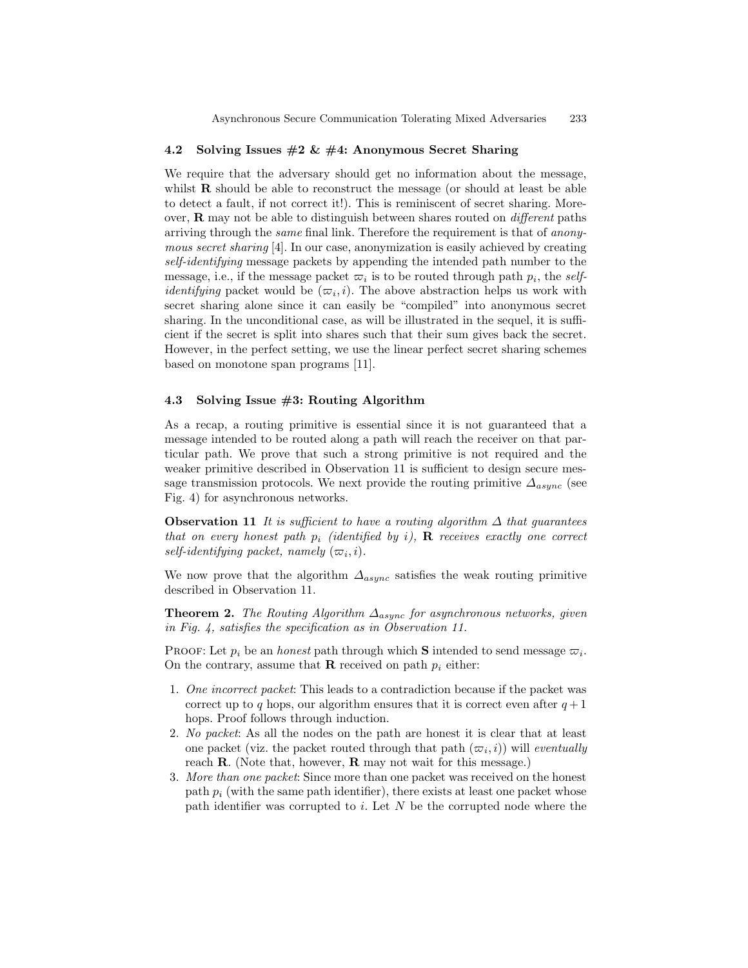## 4.2 Solving Issues  $\#2 \& \#4$ : Anonymous Secret Sharing

We require that the adversary should get no information about the message, whilst  **should be able to reconstruct the message (or should at least be able** to detect a fault, if not correct it!). This is reminiscent of secret sharing. Moreover,  $\bf{R}$  may not be able to distinguish between shares routed on *different* paths arriving through the same final link. Therefore the requirement is that of anonymous secret sharing [4]. In our case, anonymization is easily achieved by creating self-identifying message packets by appending the intended path number to the message, i.e., if the message packet  $\varpi_i$  is to be routed through path  $p_i$ , the self*identifying* packet would be  $(\varpi_i, i)$ . The above abstraction helps us work with secret sharing alone since it can easily be "compiled" into anonymous secret sharing. In the unconditional case, as will be illustrated in the sequel, it is sufficient if the secret is split into shares such that their sum gives back the secret. However, in the perfect setting, we use the linear perfect secret sharing schemes based on monotone span programs [11].

## 4.3 Solving Issue #3: Routing Algorithm

As a recap, a routing primitive is essential since it is not guaranteed that a message intended to be routed along a path will reach the receiver on that particular path. We prove that such a strong primitive is not required and the weaker primitive described in Observation 11 is sufficient to design secure message transmission protocols. We next provide the routing primitive  $\Delta_{async}$  (see Fig. 4) for asynchronous networks.

**Observation 11** It is sufficient to have a routing algorithm  $\Delta$  that guarantees that on every honest path  $p_i$  (identified by i), **R** receives exactly one correct self-identifying packet, namely  $(\varpi_i, i)$ .

We now prove that the algorithm  $\Delta_{async}$  satisfies the weak routing primitive described in Observation 11.

**Theorem 2.** The Routing Algorithm  $\Delta_{async}$  for asynchronous networks, given in Fig. 4, satisfies the specification as in Observation 11.

PROOF: Let  $p_i$  be an *honest* path through which **S** intended to send message  $\overline{\omega}_i$ . On the contrary, assume that **R** received on path  $p_i$  either:

- 1. One incorrect packet: This leads to a contradiction because if the packet was correct up to q hops, our algorithm ensures that it is correct even after  $q+1$ hops. Proof follows through induction.
- 2. No packet: As all the nodes on the path are honest it is clear that at least one packet (viz. the packet routed through that path  $(\varpi_i, i)$ ) will eventually reach **R**. (Note that, however, **R** may not wait for this message.)
- 3. More than one packet: Since more than one packet was received on the honest path  $p_i$  (with the same path identifier), there exists at least one packet whose path identifier was corrupted to  $i$ . Let  $N$  be the corrupted node where the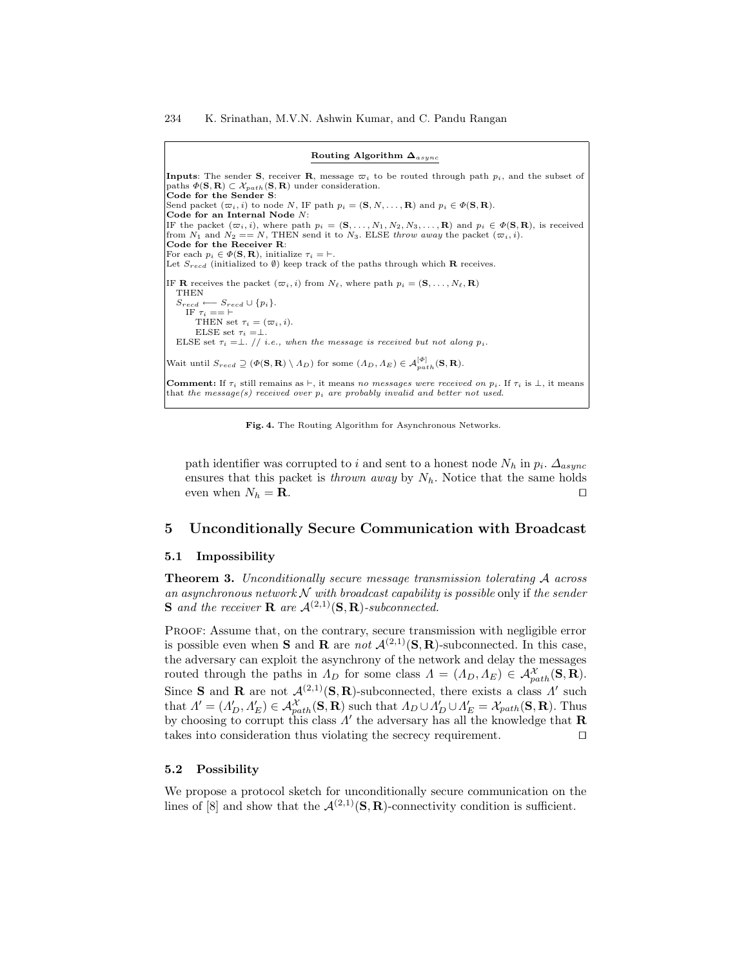### Routing Algorithm  $\Delta_{\mathit{async}}$

Inputs: The sender S, receiver R, message  $\varpi_i$  to be routed through path  $p_i$ , and the subset of paths  $\Phi(\mathbf{S}, \mathbf{R}) \subset \mathcal{X}_{path}(\mathbf{S}, \mathbf{R})$  under consideration. Code for the Sender S: Send packet  $(\varpi_i, i)$  to node N, IF path  $p_i = (\mathbf{S}, N, \dots, \mathbf{R})$  and  $p_i \in \Phi(\mathbf{S}, \mathbf{R})$ . Code for an Internal Node N: IF the packet  $(\varpi_i, i)$ , where path  $p_i = (\mathbf{S}, \dots, N_1, N_2, N_3, \dots, \mathbf{R})$  and  $p_i \in \Phi(\mathbf{S}, \mathbf{R})$ , is received from  $N_1$  and  $N_2 == N$ , THEN send it to  $N_3$ . ELSE *throw away* the packet  $(\varpi_i, i)$ . Code for the Receiver R: For each  $p_i \in \Phi(\mathbf{S}, \mathbf{R})$ , initialize  $\tau_i = \vdash$ . Let  $S_{recd}$  (initialized to  $\emptyset$ ) keep track of the paths through which **R** receives. IF **R** receives the packet  $(\varpi_i, i)$  from  $N_\ell$ , where path  $p_i = (\mathbf{S}, \dots, N_\ell, \mathbf{R})$ **THEN**  $S_{recd} \longleftarrow S_{recd} \cup \{p_i\}.$ IF  $\tau_i == \vdash$ THEN set  $\tau_i = (\varpi_i, i)$ . ELSE set  $\tau_i = \perp$ . ELSE set  $\tau_i = \perp$ . // i.e., when the message is received but not along  $p_i$ . Wait until  $S_{recd} \supseteq (\Phi(\mathbf{S}, \mathbf{R}) \setminus \Lambda_D)$  for some  $(\Lambda_D, \Lambda_E) \in \mathcal{A}_{path}^{[\Phi]}(\mathbf{S}, \mathbf{R})$ . **Comment:** If  $\tau_i$  still remains as  $\vdash$ , it means no messages were received on  $p_i$ . If  $\tau_i$  is  $\bot$ , it means that the message(s) received over  $p_i$  are probably invalid and better not used.

Fig. 4. The Routing Algorithm for Asynchronous Networks.

path identifier was corrupted to i and sent to a honest node  $N_h$  in  $p_i$ .  $\Delta_{async}$ ensures that this packet is *thrown away* by  $N_h$ . Notice that the same holds even when  $N_h = \mathbf{R}$ .

### 5 Unconditionally Secure Communication with Broadcast

## 5.1 Impossibility

Theorem 3. Unconditionally secure message transmission tolerating A across an asynchronous network  $N$  with broadcast capability is possible only if the sender **S** and the receiver **R** are  $\mathcal{A}^{(2,1)}(\mathbf{S}, \mathbf{R})$ -subconnected.

PROOF: Assume that, on the contrary, secure transmission with negligible error is possible even when **S** and **R** are not  $\mathcal{A}^{(2,1)}(\mathbf{S}, \mathbf{R})$ -subconnected. In this case, the adversary can exploit the asynchrony of the network and delay the messages routed through the paths in  $\Lambda_D$  for some class  $\Lambda = (\Lambda_D, \Lambda_E) \in \mathcal{A}_{path}^{\mathcal{X}}(\mathbf{S}, \mathbf{R}).$ Since **S** and **R** are not  $\mathcal{A}^{(2,1)}(\mathbf{S}, \mathbf{R})$ -subconnected, there exists a class  $\Lambda'$  such that  $\Lambda' = (\Lambda_D', \Lambda_E') \in \mathcal{A}_{path}^{\mathcal{X}}(\mathbf{S}, \mathbf{R})$  such that  $\Lambda_D \cup \Lambda_D' \cup \Lambda_E' = \mathcal{X}_{path}(\mathbf{S}, \mathbf{R})$ . Thus by choosing to corrupt this class  $\Lambda'$  the adversary has all the knowledge that **R** takes into consideration thus violating the secrecy requirement.  $\Box$ 

### 5.2 Possibility

We propose a protocol sketch for unconditionally secure communication on the lines of [8] and show that the  $\mathcal{A}^{(2,1)}(\mathbf{S},\mathbf{R})$ -connectivity condition is sufficient.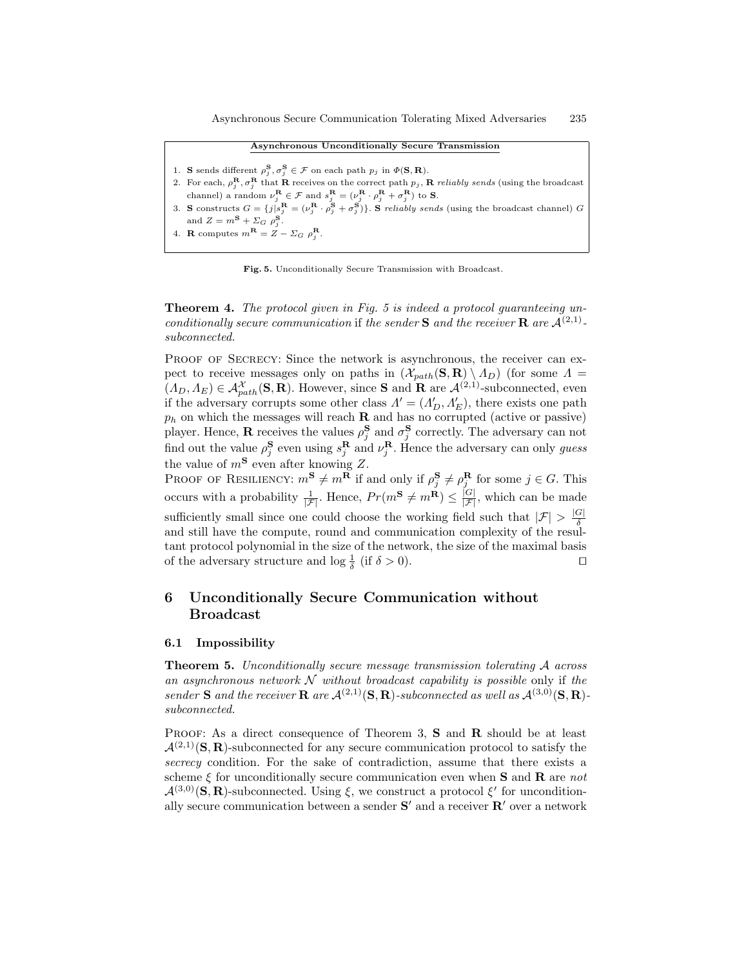Asynchronous Unconditionally Secure Transmission

- 1. **S** sends different  $\rho_j^{\mathbf{S}}, \sigma_j^{\mathbf{S}} \in \mathcal{F}$  on each path  $p_j$  in  $\Phi(\mathbf{S}, \mathbf{R})$ .
- 2. For each,  $\rho_j^{\bf R}, \sigma_j^{\bf R}$  that **R** receives on the correct path  $p_j$ , **R** reliably sends (using the broadcast channel) a random  $\nu_j^{\mathbf{R}} \in \mathcal{F}$  and  $s_j^{\mathbf{R}} = (\nu_j^{\mathbf{R}} \cdot \rho_j^{\mathbf{R}} + \sigma_j^{\mathbf{R}})$  to **S**.
- 3. S constructs  $G = \{j | s_j^R = (\nu_j^R \cdot \rho_j^S + \sigma_j^S)\}\$ . S reliably sends (using the broadcast channel) G and  $Z = m^{\mathbf{S}} + \Sigma_G \rho_j^{\mathbf{S}}$ .
- 4. **R** computes  $m^{\mathbf{R}} = \tilde{Z} \Sigma_G \rho_j^{\mathbf{R}}$ .

Fig. 5. Unconditionally Secure Transmission with Broadcast.

Theorem 4. The protocol given in Fig. 5 is indeed a protocol guaranteeing unconditionally secure communication if the sender **S** and the receiver **R** are  $\mathcal{A}^{(2,1)}$ . subconnected.

PROOF OF SECRECY: Since the network is asynchronous, the receiver can expect to receive messages only on paths in  $(\mathcal{X}_{path}(S,R) \setminus \Lambda_D)$  (for some  $\Lambda =$  $(A_D, A_E) \in \mathcal{A}_{path}^{\mathcal{X}}(\mathbf{S}, \mathbf{R})$ . However, since **S** and **R** are  $\mathcal{A}^{(2,1)}$ -subconnected, even if the adversary corrupts some other class  $\Lambda' = (\Lambda'_{D}, \Lambda'_{E})$ , there exists one path  $p_h$  on which the messages will reach **R** and has no corrupted (active or passive) player. Hence, **R** receives the values  $\rho_j^{\bf S}$  and  $\sigma_j^{\bf S}$  correctly. The adversary can not find out the value  $\rho_j^{\mathbf{S}}$  even using  $s_j^{\mathbf{R}}$  and  $\nu_j^{\mathbf{R}}$ . Hence the adversary can only *guess* the value of  $m^{\mathbf{S}}$  even after knowing Z.

PROOF OF RESILIENCY:  $m^S \neq m^R$  if and only if  $\rho_j^S \neq \rho_j^R$  for some  $j \in G$ . This occurs with a probability  $\frac{1}{|\mathcal{F}|}$ . Hence,  $Pr(m^{\mathbf{S}} \neq m^{\mathbf{R}}) \leq \frac{|G|}{|\mathcal{F}|}$  $\frac{|G|}{|\mathcal{F}|}$ , which can be made sufficiently small since one could choose the working field such that  $|\mathcal{F}| > \frac{|G|}{\delta}$ δ and still have the compute, round and communication complexity of the resultant protocol polynomial in the size of the network, the size of the maximal basis of the adversary structure and  $\log \frac{1}{\delta}$  (if  $\delta > 0$ ).

## 6 Unconditionally Secure Communication without Broadcast

## 6.1 Impossibility

Theorem 5. Unconditionally secure message transmission tolerating A across an asynchronous network  $\mathcal N$  without broadcast capability is possible only if the sender **S** and the receiver **R** are  $\mathcal{A}^{(2,1)}(\mathbf{S}, \mathbf{R})$ -subconnected as well as  $\mathcal{A}^{(3,0)}(\mathbf{S}, \mathbf{R})$ subconnected.

PROOF: As a direct consequence of Theorem 3,  $S$  and  $R$  should be at least  $\mathcal{A}^{(2,1)}(\mathbf{S},\mathbf{R})$ -subconnected for any secure communication protocol to satisfy the secrecy condition. For the sake of contradiction, assume that there exists a scheme  $\xi$  for unconditionally secure communication even when S and R are not  $\mathcal{A}^{(3,0)}(\mathbf{S},\mathbf{R})$ -subconnected. Using  $\xi$ , we construct a protocol  $\xi'$  for unconditionally secure communication between a sender  $S'$  and a receiver  $R'$  over a network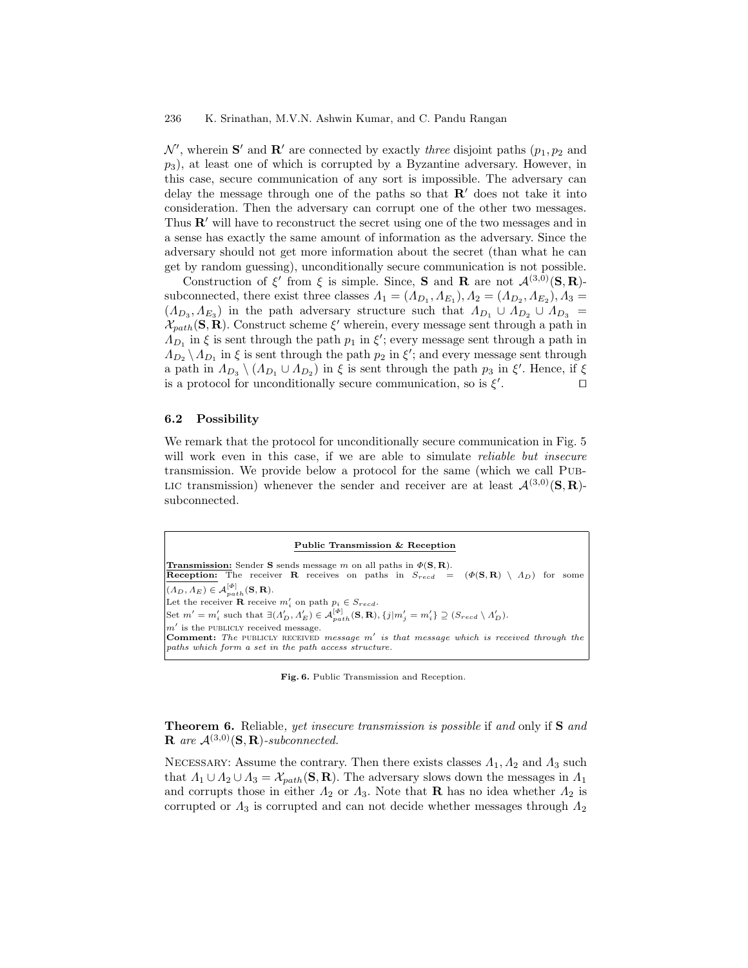$\mathcal{N}'$ , wherein **S'** and **R'** are connected by exactly *three* disjoint paths ( $p_1, p_2$  and  $p_3$ ), at least one of which is corrupted by a Byzantine adversary. However, in this case, secure communication of any sort is impossible. The adversary can delay the message through one of the paths so that  $\mathbb{R}^{\prime}$  does not take it into consideration. Then the adversary can corrupt one of the other two messages. Thus  $\mathbb{R}^{\prime}$  will have to reconstruct the secret using one of the two messages and in a sense has exactly the same amount of information as the adversary. Since the adversary should not get more information about the secret (than what he can get by random guessing), unconditionally secure communication is not possible.

Construction of  $\xi'$  from  $\xi$  is simple. Since, **S** and **R** are not  $\mathcal{A}^{(3,0)}(\mathbf{S},\mathbf{R})$ subconnected, there exist three classes  $A_1 = (A_{D_1}, A_{E_1}), A_2 = (A_{D_2}, A_{E_2}), A_3 =$  $(A_{D_3}, A_{E_3})$  in the path adversary structure such that  $A_{D_1} \cup A_{D_2} \cup A_{D_3}$  =  $\mathcal{X}_{path}(\mathbf{S}, \mathbf{R})$ . Construct scheme  $\xi'$  wherein, every message sent through a path in  $\Lambda_{D_1}$  in  $\xi$  is sent through the path  $p_1$  in  $\xi'$ ; every message sent through a path in  $\Lambda_{D_2} \setminus \Lambda_{D_1}$  in  $\xi$  is sent through the path  $p_2$  in  $\xi'$ ; and every message sent through a path in  $\Lambda_{D_3} \setminus (\Lambda_{D_1} \cup \Lambda_{D_2})$  in  $\xi$  is sent through the path  $p_3$  in  $\xi'$ . Hence, if  $\xi$ is a protocol for unconditionally secure communication, so is  $\xi'$ . The contract  $\Box$ 

### 6.2 Possibility

We remark that the protocol for unconditionally secure communication in Fig. 5 will work even in this case, if we are able to simulate *reliable but insecure* transmission. We provide below a protocol for the same (which we call Pub-LIC transmission) whenever the sender and receiver are at least  $\mathcal{A}^{(3,0)}(\mathbf{S},\mathbf{R})$ subconnected.

#### Public Transmission & Reception

**Transmission:** Sender **S** sends message m on all paths in  $\Phi(\mathbf{S}, \mathbf{R})$ . **Reception:** The receiver **R** receives on paths in  $S_{recd} = (\Phi(\mathbf{S}, \mathbf{R}) \setminus \Lambda_D)$  for some  $(A_D, A_E) \in \mathcal{A}_{path}^{[\Phi]}(\mathbf{S}, \mathbf{R}).$ Let the receiver **R** receive  $m'_i$  on path  $p_i \in S_{\text{recd}}$ . Set  $m' = m'_i$  such that  $\exists (\Lambda'_D, \Lambda'_E) \in \mathcal{A}_{path}^{[\Phi]}(\mathbf{S}, \mathbf{R}), \{j | m'_j = m'_i\} \supseteq (S_{recd} \setminus \Lambda'_D).$  $m'$  is the PUBLICLY received message. **Comment:** The PUBLICLY RECEIVED message  $m'$  is that message which is received through the paths which form a set in the path access structure.



**Theorem 6.** Reliable, yet insecure transmission is possible if and only if S and **R** are  $\mathcal{A}^{(3,0)}(\mathbf{S},\mathbf{R})$ -subconnected.

NECESSARY: Assume the contrary. Then there exists classes  $\Lambda_1, \Lambda_2$  and  $\Lambda_3$  such that  $\Lambda_1 \cup \Lambda_2 \cup \Lambda_3 = \mathcal{X}_{path}(\mathbf{S}, \mathbf{R})$ . The adversary slows down the messages in  $\Lambda_1$ and corrupts those in either  $\Lambda_2$  or  $\Lambda_3$ . Note that **R** has no idea whether  $\Lambda_2$  is corrupted or  $\Lambda_3$  is corrupted and can not decide whether messages through  $\Lambda_2$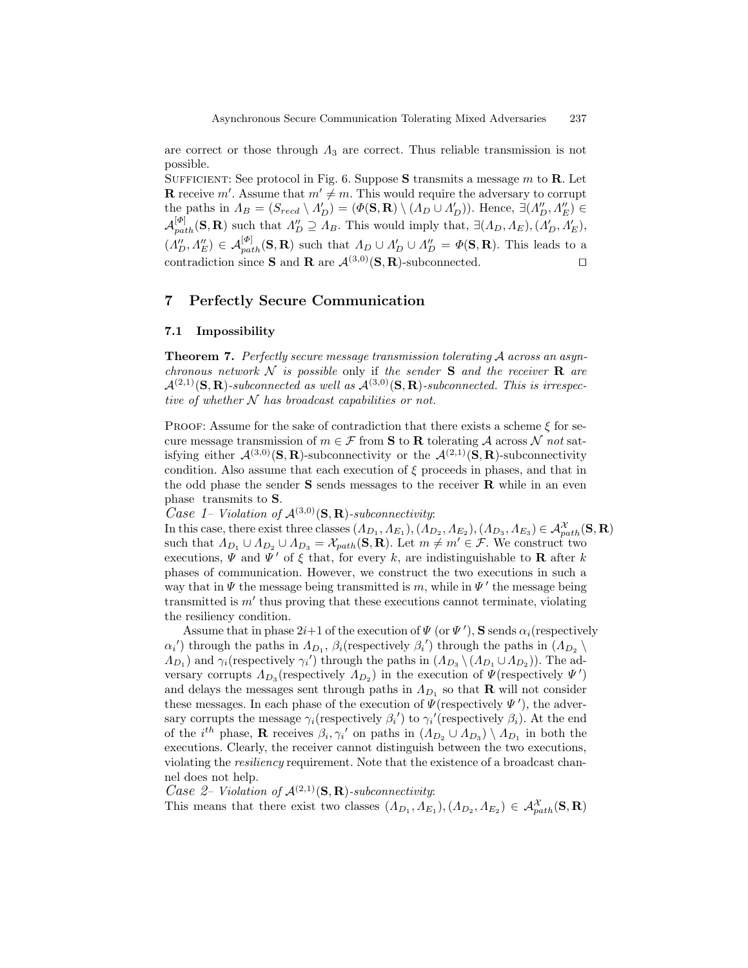are correct or those through  $\Lambda_3$  are correct. Thus reliable transmission is not possible.

SUFFICIENT: See protocol in Fig. 6. Suppose S transmits a message  $m$  to R. Let **R** receive m'. Assume that  $m' \neq m$ . This would require the adversary to corrupt the paths in  $\Lambda_B = (S_{read} \setminus \Lambda_D') = (\Phi(\mathbf{S}, \mathbf{R}) \setminus (\Lambda_D \cup \Lambda_D'))$ . Hence,  $\exists (\Lambda_D'', \Lambda_E'') \in$  $\mathcal{A}_{path}^{[\Phi]}(\mathbf{S}, \mathbf{R})$  such that  $\Lambda_D^{\prime\prime} \supseteq \Lambda_B$ . This would imply that,  $\exists (\Lambda_D, \Lambda_E), (\Lambda_D^{\prime}, \Lambda_E^{\prime}),$  $(A''_D, A''_E) \in \mathcal{A}_{path}^{[\Phi]}(\mathbf{S}, \mathbf{R})$  such that  $A_D \cup A'_D \cup A''_D = \Phi(\mathbf{S}, \mathbf{R})$ . This leads to a contradiction since **S** and **R** are  $\mathcal{A}^{(3,0)}(\mathbf{S}, \mathbf{R})$ -subconnected.

## 7 Perfectly Secure Communication

### 7.1 Impossibility

Theorem 7. Perfectly secure message transmission tolerating A across an asynchronous network  $\mathcal N$  is possible only if the sender **S** and the receiver **R** are  $\mathcal{A}^{(2,1)}(\mathbf{S},\mathbf{R})$ -subconnected as well as  $\mathcal{A}^{(3,0)}(\mathbf{S},\mathbf{R})$ -subconnected. This is irrespective of whether  $N$  has broadcast capabilities or not.

PROOF: Assume for the sake of contradiction that there exists a scheme  $\xi$  for secure message transmission of  $m \in \mathcal{F}$  from **S** to **R** tolerating A across N not satisfying either  $\mathcal{A}^{(3,0)}(\mathbf{S},\mathbf{R})$ -subconnectivity or the  $\mathcal{A}^{(2,1)}(\mathbf{S},\mathbf{R})$ -subconnectivity condition. Also assume that each execution of  $\xi$  proceeds in phases, and that in the odd phase the sender  $S$  sends messages to the receiver  $R$  while in an even phase transmits to S.

Case 1– Violation of  $\mathcal{A}^{(3,0)}(\mathbf{S},\mathbf{R})$ -subconnectivity:

In this case, there exist three classes  $(A_{D_1}, A_{E_1}), (A_{D_2}, A_{E_2}), (A_{D_3}, A_{E_3}) \in \mathcal{A}_{path}^{\mathcal{X}}(\mathbf{S}, \mathbf{R})$ such that  $\Lambda_{D_1} \cup \Lambda_{D_2} \cup \Lambda_{D_3} = \mathcal{X}_{path}(\mathbf{S}, \mathbf{R})$ . Let  $m \neq m' \in \mathcal{F}$ . We construct two executions,  $\Psi$  and  $\Psi'$  of  $\xi$  that, for every k, are indistinguishable to **R** after k phases of communication. However, we construct the two executions in such a way that in  $\Psi$  the message being transmitted is m, while in  $\Psi'$  the message being transmitted is  $m'$  thus proving that these executions cannot terminate, violating the resiliency condition.

Assume that in phase  $2i+1$  of the execution of  $\Psi$  (or  $\Psi'$ ), **S** sends  $\alpha_i$  (respectively  $\alpha_i'$ ) through the paths in  $\Lambda_{D_1}$ ,  $\beta_i$  (respectively  $\beta_i'$ ) through the paths in  $(\Lambda_{D_2} \setminus$  $(\Lambda_{D_1})$  and  $\gamma_i$  (respectively  $\gamma_i'$ ) through the paths in  $(\Lambda_{D_3} \setminus (\Lambda_{D_1} \cup \Lambda_{D_2}))$ . The adversary corrupts  $\Lambda_{D_3}$ (respectively  $\Lambda_{D_2}$ ) in the execution of  $\Psi$ (respectively  $\Psi'$ ) and delays the messages sent through paths in  $\Lambda_{D_1}$  so that **R** will not consider these messages. In each phase of the execution of  $\Psi$ (respectively  $\Psi'$ ), the adversary corrupts the message  $\gamma_i$  (respectively  $\beta_i$ ) to  $\gamma_i$  (respectively  $\beta_i$ ). At the end of the  $i^{th}$  phase, **R** receives  $\beta_i, \gamma_i'$  on paths in  $(\Lambda_{D_2} \cup \Lambda_{D_3}) \setminus \Lambda_{D_1}$  in both the executions. Clearly, the receiver cannot distinguish between the two executions, violating the resiliency requirement. Note that the existence of a broadcast channel does not help.

Case 2– Violation of  $\mathcal{A}^{(2,1)}(\mathbf{S},\mathbf{R})$ -subconnectivity:

This means that there exist two classes  $(A_{D_1}, A_{E_1}), (A_{D_2}, A_{E_2}) \in \mathcal{A}_{path}^{\mathcal{X}}(\mathbf{S}, \mathbf{R})$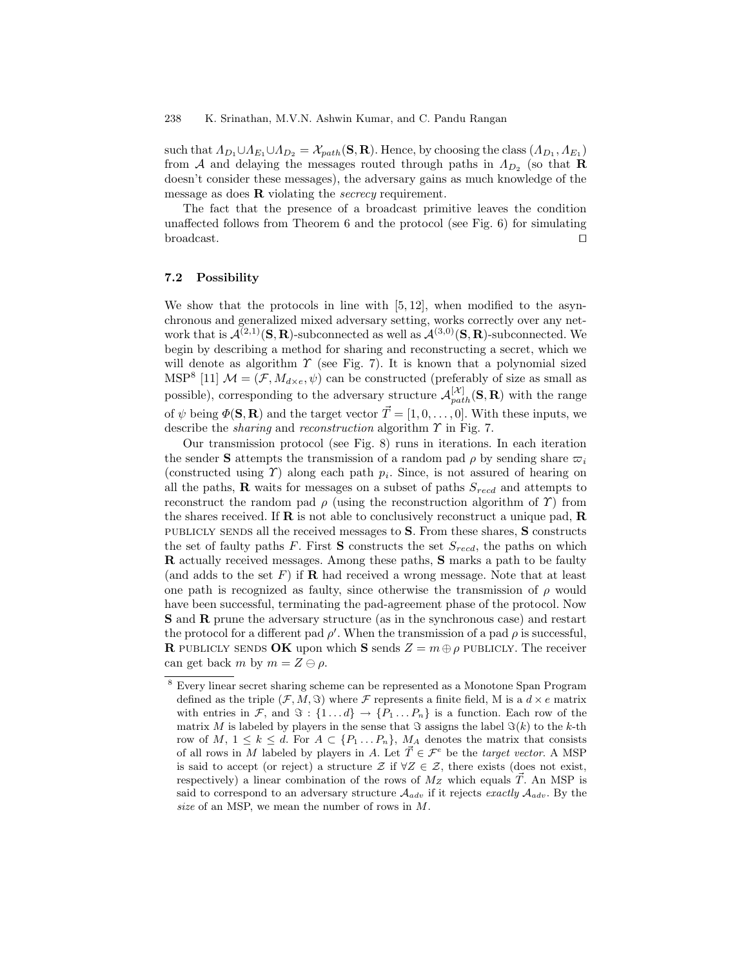such that  $\Lambda_{D_1} \cup \Lambda_{E_1} \cup \Lambda_{D_2} = \chi_{path}(\mathbf{S}, \mathbf{R})$ . Hence, by choosing the class  $(\Lambda_{D_1}, \Lambda_{E_1})$ from A and delaying the messages routed through paths in  $\Lambda_{D_2}$  (so that **R** doesn't consider these messages), the adversary gains as much knowledge of the message as does  $\bf{R}$  violating the *secrecy* requirement.

The fact that the presence of a broadcast primitive leaves the condition unaffected follows from Theorem 6 and the protocol (see Fig. 6) for simulating broadcast.  $\Box$ 

## 7.2 Possibility

We show that the protocols in line with  $[5, 12]$ , when modified to the asynchronous and generalized mixed adversary setting, works correctly over any network that is  $\mathcal{A}^{(2,1)}(\mathbf{S},\mathbf{R})$ -subconnected as well as  $\mathcal{A}^{(3,0)}(\mathbf{S},\mathbf{R})$ -subconnected. We begin by describing a method for sharing and reconstructing a secret, which we will denote as algorithm  $\Upsilon$  (see Fig. 7). It is known that a polynomial sized MSP<sup>8</sup> [11]  $\mathcal{M} = (\mathcal{F}, M_{d \times e}, \psi)$  can be constructed (preferably of size as small as possible), corresponding to the adversary structure  $\mathcal{A}_{path}^{[\mathcal{X}]}(S,R)$  with the range of  $\psi$  being  $\Phi(\mathbf{S}, \mathbf{R})$  and the target vector  $\vec{T} = [1, 0, \dots, 0]$ . With these inputs, we describe the *sharing* and *reconstruction* algorithm  $\gamma$  in Fig. 7.

Our transmission protocol (see Fig. 8) runs in iterations. In each iteration the sender **S** attempts the transmission of a random pad  $\rho$  by sending share  $\varpi_i$ (constructed using  $\gamma$ ) along each path  $p_i$ . Since, is not assured of hearing on all the paths, **R** waits for messages on a subset of paths  $S_{\text{recd}}$  and attempts to reconstruct the random pad  $\rho$  (using the reconstruction algorithm of  $\gamma$ ) from the shares received. If  $\bf{R}$  is not able to conclusively reconstruct a unique pad,  $\bf{R}$ publicly sends all the received messages to S. From these shares, S constructs the set of faulty paths F. First **S** constructs the set  $S_{\text{recd}}$ , the paths on which R actually received messages. Among these paths, S marks a path to be faulty (and adds to the set  $F$ ) if **R** had received a wrong message. Note that at least one path is recognized as faulty, since otherwise the transmission of  $\rho$  would have been successful, terminating the pad-agreement phase of the protocol. Now S and R prune the adversary structure (as in the synchronous case) and restart the protocol for a different pad  $\rho'$ . When the transmission of a pad  $\rho$  is successful, **R** PUBLICLY SENDS **OK** upon which **S** sends  $Z = m \oplus \rho$  publicly. The receiver can get back m by  $m = Z \ominus \rho$ .

<sup>8</sup> Every linear secret sharing scheme can be represented as a Monotone Span Program defined as the triple  $(\mathcal{F}, M, \Im)$  where F represents a finite field, M is a  $d \times e$  matrix with entries in F, and  $\Im : \{1 \dots d\} \to \{P_1 \dots P_n\}$  is a function. Each row of the matrix M is labeled by players in the sense that  $\Im$  assigns the label  $\Im(k)$  to the k-th row of M,  $1 \leq k \leq d$ . For  $A \subset \{P_1 \ldots P_n\}$ , M<sub>A</sub> denotes the matrix that consists of all rows in M labeled by players in A. Let  $\vec{T} \in \mathcal{F}^e$  be the target vector. A MSP is said to accept (or reject) a structure  $\mathcal{Z}$  if  $\forall Z \in \mathcal{Z}$ , there exists (does not exist, respectively) a linear combination of the rows of  $M_Z$  which equals  $\vec{T}$ . An MSP is said to correspond to an adversary structure  $A_{adv}$  if it rejects exactly  $A_{adv}$ . By the size of an MSP, we mean the number of rows in  $M$ .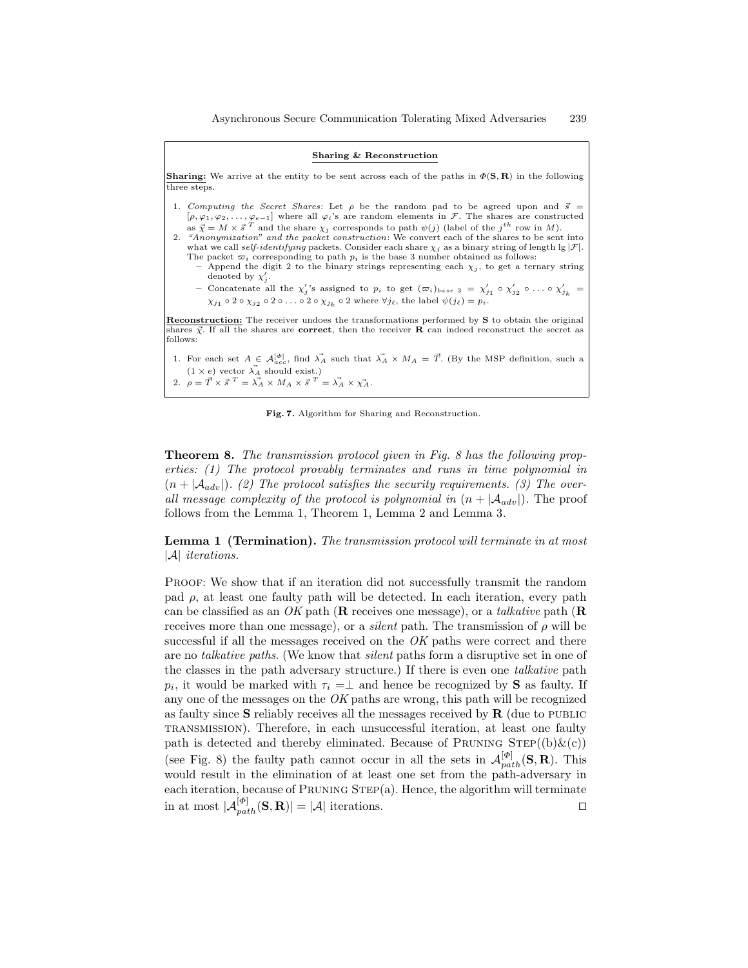#### Sharing & Reconstruction

**Sharing:** We arrive at the entity to be sent across each of the paths in  $\Phi(S, R)$  in the following three steps.

- 1. Computing the Secret Shares: Let  $\rho$  be the random pad to be agreed upon and  $\vec{s} = [\rho, \varphi_1, \varphi_2, \dots, \varphi_{e-1}]$  where all  $\varphi_i$ 's are random elements in  $\mathcal{F}$ . The shares are constructed
- as  $\vec{\chi} = M \times \vec{s}^T$  and the share  $\chi_j$  corresponds to path  $\psi(j)$  (label of the  $j^{th}$  row in M).<br>2. "Anonymization" and the packet construction: We convert each of the shares to be sent into what we call self-identifying packets. Consider each share  $\chi_j$  as a binary string of length lg  $|\mathcal{F}|$ . The packet  $\varpi_i$  corresponding to path  $p_i$  is the base 3 number obtained as follows:
	- Append the digit 2 to the binary strings representing each  $\chi_i$ , to get a ternary string denoted by  $\chi'_j$ .
	- Concatenate all the  $\chi'_j$ 's assigned to  $p_i$  to get  $(\varpi_i)_{base\;3} = \chi'_{j_1} \circ \chi'_{j_2} \circ \ldots \circ \chi'_{j_k} =$  $\chi_{j_1} \circ 2 \circ \chi_{j_2} \circ 2 \circ \ldots \circ 2 \circ \chi_{j_k} \circ 2$  where  $\forall j_\ell$ , the label  $\psi(j_\ell) = p_i$ .

Reconstruction: The receiver undoes the transformations performed by S to obtain the original shares  $\vec{\chi}$ . If all the shares are **correct**, then the receiver **R** can indeed reconstruct the secret as follows:

1. For each set  $A \in \mathcal{A}_{acc}^{[\Phi]}$ , find  $\vec{\lambda}_A$  such that  $\vec{\lambda}_A \times M_A = \vec{T}$ . (By the MSP definition, such a  $(1 \times e)$  vector  $\vec{\lambda_A}$  should exist.)

2.  $\rho = \vec{T} \times \vec{s}^T = \vec{\lambda_A} \times M_A \times \vec{s}^T = \vec{\lambda_A} \times \vec{\chi_A}.$ 

Fig. 7. Algorithm for Sharing and Reconstruction.

Theorem 8. The transmission protocol given in Fig. 8 has the following properties: (1) The protocol provably terminates and runs in time polynomial in  $(n + |A_{adv}|)$ . (2) The protocol satisfies the security requirements. (3) The overall message complexity of the protocol is polynomial in  $(n + |A_{adv}|)$ . The proof follows from the Lemma 1, Theorem 1, Lemma 2 and Lemma 3.

Lemma 1 (Termination). The transmission protocol will terminate in at most |A| iterations.

Proof: We show that if an iteration did not successfully transmit the random pad  $\rho$ , at least one faulty path will be detected. In each iteration, every path can be classified as an OK path (**R** receives one message), or a talkative path (**R** receives more than one message), or a *silent* path. The transmission of  $\rho$  will be successful if all the messages received on the  $OK$  paths were correct and there are no talkative paths. (We know that *silent* paths form a disruptive set in one of the classes in the path adversary structure.) If there is even one talkative path  $p_i$ , it would be marked with  $\tau_i = \perp$  and hence be recognized by S as faulty. If any one of the messages on the  $OK$  paths are wrong, this path will be recognized as faulty since  $S$  reliably receives all the messages received by  $R$  (due to PUBLIC transmission). Therefore, in each unsuccessful iteration, at least one faulty path is detected and thereby eliminated. Because of PRUNING  $STEP((b) \& (c))$ (see Fig. 8) the faulty path cannot occur in all the sets in  $\mathcal{A}_{path}^{[\Phi]}(\mathbf{S},\mathbf{R})$ . This would result in the elimination of at least one set from the path-adversary in each iteration, because of PRUNING STEP $(a)$ . Hence, the algorithm will terminate in at most  $|\mathcal{A}_{path}^{[\Phi]}(\mathbf{S}, \mathbf{R})| = |\mathcal{A}|$  iterations.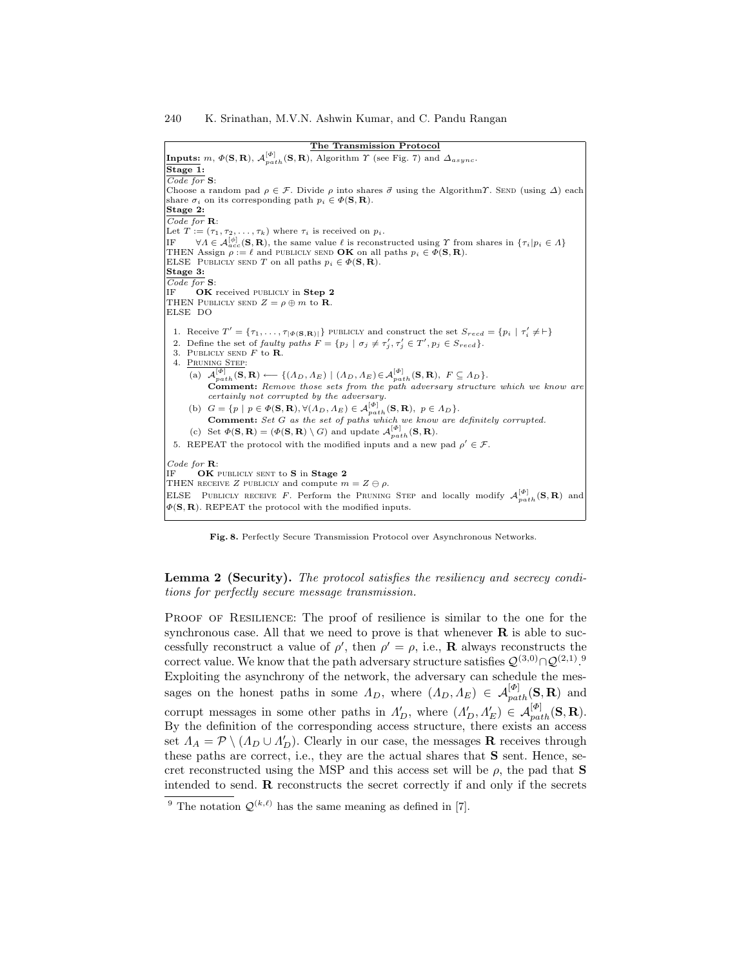The Transmission Protocol **Inputs:** m,  $\Phi(\mathbf{S}, \mathbf{R})$ ,  $\mathcal{A}_{path}^{[\Phi]}(\mathbf{S}, \mathbf{R})$ , Algorithm  $\Upsilon$  (see Fig. 7) and  $\Delta_{async}$ . Stage 1: Code for S: Choose a random pad  $\rho \in \mathcal{F}$ . Divide  $\rho$  into shares  $\vec{\sigma}$  using the AlgorithmY. SEND (using  $\Delta$ ) each share  $\sigma_i$  on its corresponding path  $p_i \in \Phi(\mathbf{S}, \mathbf{R})$ . Stage 2: Code for R: Let  $T := (\tau_1, \tau_2, \ldots, \tau_k)$  where  $\tau_i$  is received on  $p_i$ . IF  $\forall A \in \mathcal{A}_{acc}^{[\phi]}(\mathbf{S}, \mathbf{R})$ , the same value  $\ell$  is reconstructed using  $\Upsilon$  from shares in  $\{\tau_i | p_i \in \Lambda\}$ THEN Assign  $\rho := \ell$  and publicly send **OK** on all paths  $p_i \in \Phi(\mathbf{S}, \mathbf{R})$ . ELSE PUBLICLY SEND T on all paths  $p_i \in \Phi(\mathbf{S}, \mathbf{R})$ . Stage 3:  $\overline{Code~for~}$ S:<br>IF  $\overline{OK}$ OK received PUBLICLY in Step 2 THEN PUBLICLY SEND  $Z = \rho \oplus m$  to **R**. ELSE DO 1. Receive  $T' = {\tau_1, \ldots, \tau_{|\Phi(\mathbf{S}, \mathbf{R})|}}$  PUBLICLY and construct the set  $S_{recd} = {p_i | \tau'_i \neq \vdash}$ 2. Define the set of faulty paths  $F = \{p_j \mid \sigma_j \neq \tau'_j, \tau'_j \in T', p_j \in S_{recd}\}.$ 3. PUBLICLY SEND  $F$  to **R**. 4. PRUNING STEP: (a)  $\mathcal{A}_{path}^{[\Phi]}(\mathbf{S}, \mathbf{R}) \longleftarrow \{(\Lambda_D, \Lambda_E) \mid (\Lambda_D, \Lambda_E) \in \mathcal{A}_{path}^{[\Phi]}(\mathbf{S}, \mathbf{R}), \ F \subseteq \Lambda_D \}.$ Comment: Remove those sets from the path adversary structure which we know are certainly not corrupted by the adversary. (b)  $G = \{p \mid p \in \Phi(\mathbf{S}, \mathbf{R}), \forall (\Lambda_D, \Lambda_E) \in \mathcal{A}_{path}^{[\Phi]}(\mathbf{S}, \mathbf{R}), \ p \in \Lambda_D \}.$ Comment: Set G as the set of paths which we know are definitely corrupted. (c) Set  $\Phi(\mathbf{S}, \mathbf{R}) = (\Phi(\mathbf{S}, \mathbf{R}) \setminus G)$  and update  $\mathcal{A}_{path}^{[\Phi]}(\mathbf{S}, \mathbf{R})$ . 5. REPEAT the protocol with the modified inputs and a new pad  $\rho' \in \mathcal{F}$ . Code for R: IF OK PUBLICLY SENT to S in Stage 2 THEN RECEIVE Z PUBLICLY and compute  $m = Z \ominus \rho$ . ELSE PUBLICLY RECEIVE F. Perform the PRUNING STEP and locally modify  $\mathcal{A}_{path}^{[\Phi]}(\mathbf{S},\mathbf{R})$  and  $\Phi(S, R)$ . REPEAT the protocol with the modified inputs.

Fig. 8. Perfectly Secure Transmission Protocol over Asynchronous Networks.

Lemma 2 (Security). The protocol satisfies the resiliency and secrecy conditions for perfectly secure message transmission.

PROOF OF RESILIENCE: The proof of resilience is similar to the one for the synchronous case. All that we need to prove is that whenever  $\bf{R}$  is able to successfully reconstruct a value of  $\rho'$ , then  $\rho' = \rho$ , i.e., **R** always reconstructs the correct value. We know that the path adversary structure satisfies  $\mathcal{Q}^{(3,0)} \cap \mathcal{Q}^{(2,1)}$ .<sup>9</sup> Exploiting the asynchrony of the network, the adversary can schedule the messages on the honest paths in some  $\Lambda_D$ , where  $(\Lambda_D, \Lambda_E) \in \mathcal{A}_{path}^{[\Phi]}(\mathbf{S}, \mathbf{R})$  and corrupt messages in some other paths in  $\Lambda_D'$ , where  $(\Lambda_D', \Lambda_E') \in \mathcal{A}_{path}^{[\Phi]}(S, R)$ . By the definition of the corresponding access structure, there exists an access set  $\Lambda_A = \mathcal{P} \setminus (\Lambda_D \cup \Lambda_D')$ . Clearly in our case, the messages **R** receives through these paths are correct, i.e., they are the actual shares that S sent. Hence, secret reconstructed using the MSP and this access set will be  $\rho$ , the pad that **S** intended to send. R reconstructs the secret correctly if and only if the secrets

<sup>&</sup>lt;sup>9</sup> The notation  $\mathcal{Q}^{(k,\ell)}$  has the same meaning as defined in [7].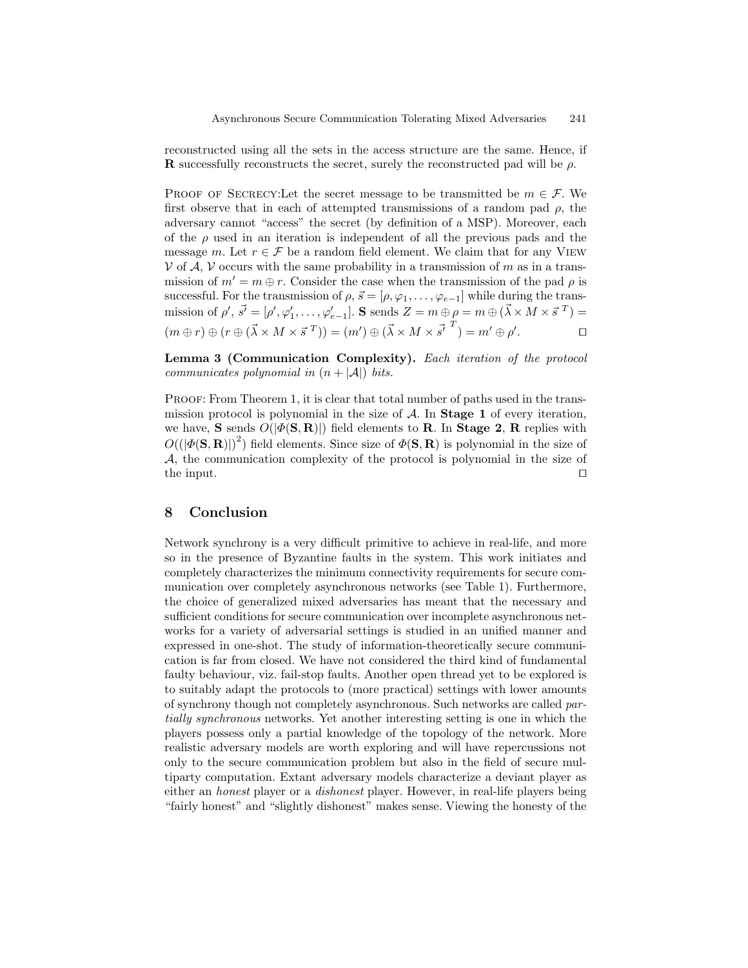reconstructed using all the sets in the access structure are the same. Hence, if **R** successfully reconstructs the secret, surely the reconstructed pad will be  $\rho$ .

PROOF OF SECRECY:Let the secret message to be transmitted be  $m \in \mathcal{F}$ . We first observe that in each of attempted transmissions of a random pad  $\rho$ , the adversary cannot "access" the secret (by definition of a MSP). Moreover, each of the  $\rho$  used in an iteration is independent of all the previous pads and the message m. Let  $r \in \mathcal{F}$  be a random field element. We claim that for any VIEW  $V$  of A, V occurs with the same probability in a transmission of m as in a transmission of  $m' = m \oplus r$ . Consider the case when the transmission of the pad  $\rho$  is successful. For the transmission of  $\rho, \vec{s} = [\rho, \varphi_1, \ldots, \varphi_{e-1}]$  while during the transmission of  $\rho', \vec{s'} = [\rho', \varphi_1', \dots, \varphi_{e-1}']$ . S sends  $Z = m \oplus \rho = m \oplus (\vec{\lambda} \times M \times \vec{s}^T) =$  $(m \oplus r) \oplus (r \oplus (\vec{\lambda} \times M \times \vec{s}^{T})) = (m') \oplus (\vec{\lambda} \times M \times \vec{s'}^{T}) = m' \oplus \rho'$  $\Box$ 

Lemma 3 (Communication Complexity). Each iteration of the protocol communicates polynomial in  $(n + |A|)$  bits.

Proof: From Theorem 1, it is clear that total number of paths used in the transmission protocol is polynomial in the size of  $A$ . In **Stage 1** of every iteration, we have, S sends  $O(|\Phi(\mathbf{S}, \mathbf{R})|)$  field elements to **R**. In Stage 2, **R** replies with  $O((\left|\phi(\mathbf{S},\mathbf{R})\right|)^2)$  field elements. Since size of  $\Phi(\mathbf{S},\mathbf{R})$  is polynomial in the size of A, the communication complexity of the protocol is polynomial in the size of the input.  $\Box$ 

## 8 Conclusion

Network synchrony is a very difficult primitive to achieve in real-life, and more so in the presence of Byzantine faults in the system. This work initiates and completely characterizes the minimum connectivity requirements for secure communication over completely asynchronous networks (see Table 1). Furthermore, the choice of generalized mixed adversaries has meant that the necessary and sufficient conditions for secure communication over incomplete asynchronous networks for a variety of adversarial settings is studied in an unified manner and expressed in one-shot. The study of information-theoretically secure communication is far from closed. We have not considered the third kind of fundamental faulty behaviour, viz. fail-stop faults. Another open thread yet to be explored is to suitably adapt the protocols to (more practical) settings with lower amounts of synchrony though not completely asynchronous. Such networks are called partially synchronous networks. Yet another interesting setting is one in which the players possess only a partial knowledge of the topology of the network. More realistic adversary models are worth exploring and will have repercussions not only to the secure communication problem but also in the field of secure multiparty computation. Extant adversary models characterize a deviant player as either an honest player or a dishonest player. However, in real-life players being "fairly honest" and "slightly dishonest" makes sense. Viewing the honesty of the